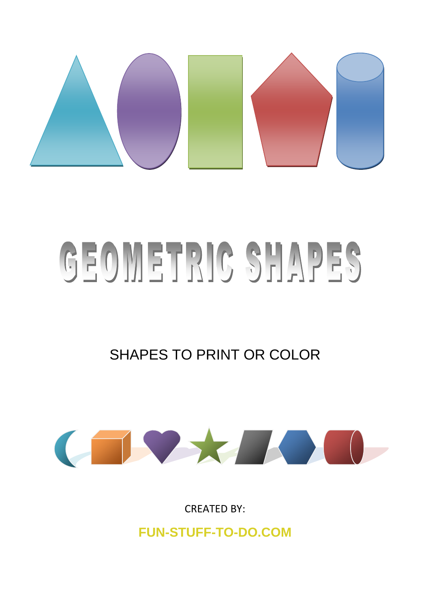

## GEOMETRIC SHAPES

SHAPES TO PRINT OR COLOR



CREATED BY:

**FUN-STUFF-TO-DO.COM**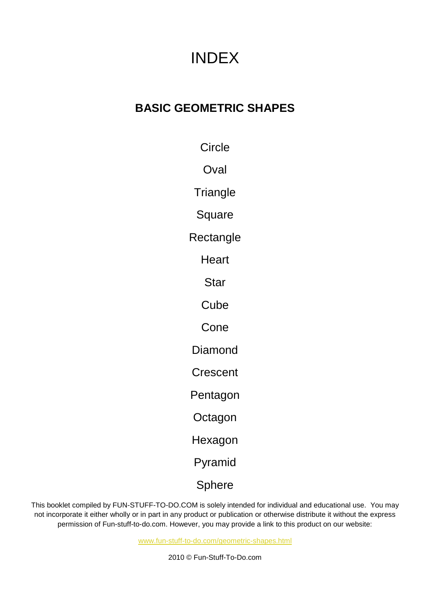## INDEX

## **BASIC GEOMETRIC SHAPES**

**Circle** 

**Oval** 

**Triangle** 

**Square** 

**Rectangle** 

**Heart** 

Star

**Cube** 

Cone

Diamond

**Crescent** 

Pentagon

**Octagon** 

Hexagon

Pyramid

Sphere

This booklet compiled by FUN-STUFF-TO-DO.COM is solely intended for individual and educational use. You may not incorporate it either wholly or in part in any product or publication or otherwise distribute it without the express permission of Fun-stuff-to-do.com. However, you may provide a link to this product on our website:

[www.fun-stuff-to-do.com/geometric-shapes.html](http://www.fun-stuff-to-do.com/geometric-shapes.html)

2010 © Fun-Stuff-To-Do.com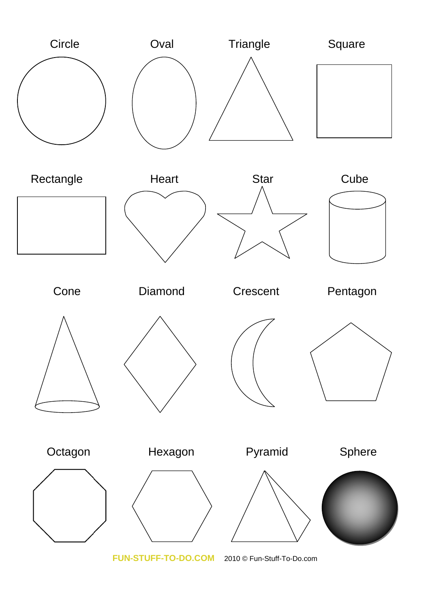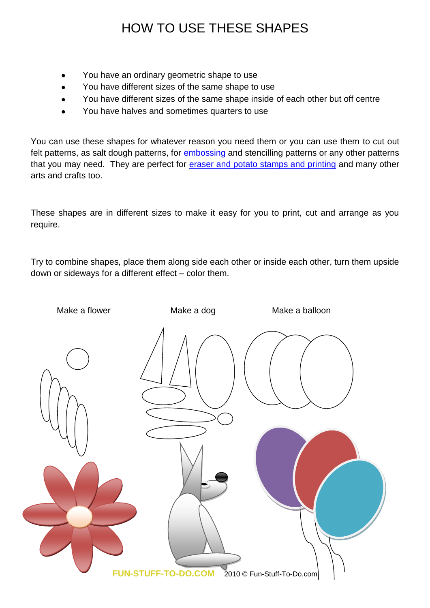## HOW TO USE THESE SHAPES

- You have an ordinary geometric shape to use
- You have different sizes of the same shape to use
- You have different sizes of the same shape inside of each other but off centre
- You have halves and sometimes quarters to use

You can use these shapes for whatever reason you need them or you can use them to cut out felt patterns, as salt dough patterns, for **embossing** and stencilling patterns or any other patterns that you may need. They are perfect for [eraser and potato stamps and printing](http://www.fun-stuff-to-do.com/easy-crafts-for-kids-8.html) and many other arts and crafts too.

These shapes are in different sizes to make it easy for you to print, cut and arrange as you require.

Try to combine shapes, place them along side each other or inside each other, turn them upside down or sideways for a different effect – color them.